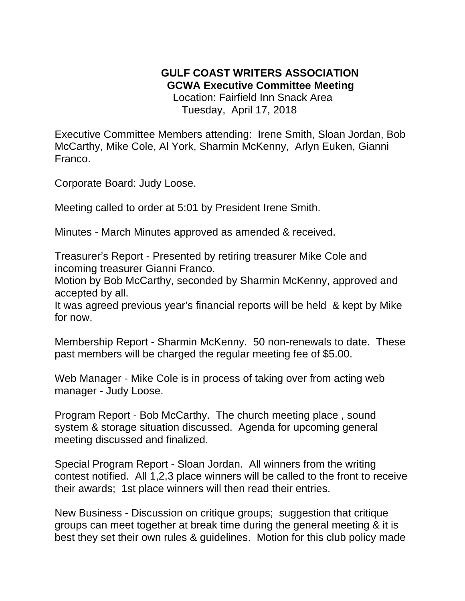## **GULF COAST WRITERS ASSOCIATION GCWA Executive Committee Meeting**

 Location: Fairfield Inn Snack Area Tuesday, April 17, 2018

Executive Committee Members attending: Irene Smith, Sloan Jordan, Bob McCarthy, Mike Cole, Al York, Sharmin McKenny, Arlyn Euken, Gianni Franco.

Corporate Board: Judy Loose.

Meeting called to order at 5:01 by President Irene Smith.

Minutes - March Minutes approved as amended & received.

Treasurer's Report - Presented by retiring treasurer Mike Cole and incoming treasurer Gianni Franco.

Motion by Bob McCarthy, seconded by Sharmin McKenny, approved and accepted by all.

It was agreed previous year's financial reports will be held & kept by Mike for now.

Membership Report - Sharmin McKenny. 50 non-renewals to date. These past members will be charged the regular meeting fee of \$5.00.

Web Manager - Mike Cole is in process of taking over from acting web manager - Judy Loose.

Program Report - Bob McCarthy. The church meeting place , sound system & storage situation discussed. Agenda for upcoming general meeting discussed and finalized.

Special Program Report - Sloan Jordan. All winners from the writing contest notified. All 1,2,3 place winners will be called to the front to receive their awards; 1st place winners will then read their entries.

New Business - Discussion on critique groups; suggestion that critique groups can meet together at break time during the general meeting & it is best they set their own rules & guidelines. Motion for this club policy made